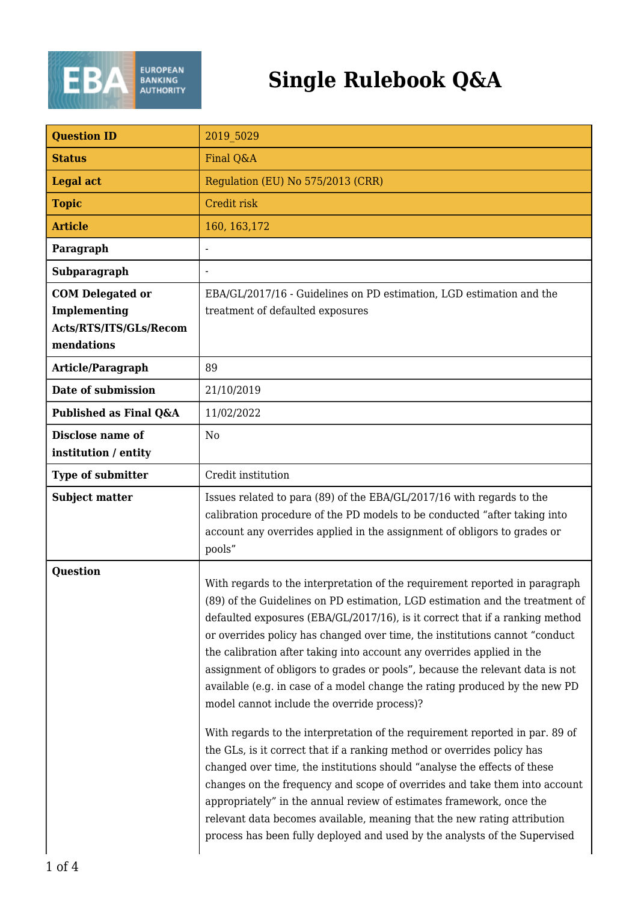

## **Single Rulebook Q&A**

| <b>Question ID</b>                   | 2019 5029                                                                                                                                                                                                                                                                                                                                                                                                                                                                                                                                                                                                                                                                                                                                                                                                                                                                                                                                                                                                                                                                                                                                                                 |
|--------------------------------------|---------------------------------------------------------------------------------------------------------------------------------------------------------------------------------------------------------------------------------------------------------------------------------------------------------------------------------------------------------------------------------------------------------------------------------------------------------------------------------------------------------------------------------------------------------------------------------------------------------------------------------------------------------------------------------------------------------------------------------------------------------------------------------------------------------------------------------------------------------------------------------------------------------------------------------------------------------------------------------------------------------------------------------------------------------------------------------------------------------------------------------------------------------------------------|
| <b>Status</b>                        | Final Q&A                                                                                                                                                                                                                                                                                                                                                                                                                                                                                                                                                                                                                                                                                                                                                                                                                                                                                                                                                                                                                                                                                                                                                                 |
| <b>Legal act</b>                     | Regulation (EU) No 575/2013 (CRR)                                                                                                                                                                                                                                                                                                                                                                                                                                                                                                                                                                                                                                                                                                                                                                                                                                                                                                                                                                                                                                                                                                                                         |
| <b>Topic</b>                         | Credit risk                                                                                                                                                                                                                                                                                                                                                                                                                                                                                                                                                                                                                                                                                                                                                                                                                                                                                                                                                                                                                                                                                                                                                               |
| <b>Article</b>                       | 160, 163, 172                                                                                                                                                                                                                                                                                                                                                                                                                                                                                                                                                                                                                                                                                                                                                                                                                                                                                                                                                                                                                                                                                                                                                             |
| Paragraph                            |                                                                                                                                                                                                                                                                                                                                                                                                                                                                                                                                                                                                                                                                                                                                                                                                                                                                                                                                                                                                                                                                                                                                                                           |
| Subparagraph                         | $\blacksquare$                                                                                                                                                                                                                                                                                                                                                                                                                                                                                                                                                                                                                                                                                                                                                                                                                                                                                                                                                                                                                                                                                                                                                            |
| <b>COM Delegated or</b>              | EBA/GL/2017/16 - Guidelines on PD estimation, LGD estimation and the                                                                                                                                                                                                                                                                                                                                                                                                                                                                                                                                                                                                                                                                                                                                                                                                                                                                                                                                                                                                                                                                                                      |
| Implementing                         | treatment of defaulted exposures                                                                                                                                                                                                                                                                                                                                                                                                                                                                                                                                                                                                                                                                                                                                                                                                                                                                                                                                                                                                                                                                                                                                          |
| Acts/RTS/ITS/GLs/Recom<br>mendations |                                                                                                                                                                                                                                                                                                                                                                                                                                                                                                                                                                                                                                                                                                                                                                                                                                                                                                                                                                                                                                                                                                                                                                           |
| Article/Paragraph                    | 89                                                                                                                                                                                                                                                                                                                                                                                                                                                                                                                                                                                                                                                                                                                                                                                                                                                                                                                                                                                                                                                                                                                                                                        |
| Date of submission                   | 21/10/2019                                                                                                                                                                                                                                                                                                                                                                                                                                                                                                                                                                                                                                                                                                                                                                                                                                                                                                                                                                                                                                                                                                                                                                |
| Published as Final Q&A               | 11/02/2022                                                                                                                                                                                                                                                                                                                                                                                                                                                                                                                                                                                                                                                                                                                                                                                                                                                                                                                                                                                                                                                                                                                                                                |
| Disclose name of                     | N <sub>0</sub>                                                                                                                                                                                                                                                                                                                                                                                                                                                                                                                                                                                                                                                                                                                                                                                                                                                                                                                                                                                                                                                                                                                                                            |
| institution / entity                 |                                                                                                                                                                                                                                                                                                                                                                                                                                                                                                                                                                                                                                                                                                                                                                                                                                                                                                                                                                                                                                                                                                                                                                           |
| <b>Type of submitter</b>             | Credit institution                                                                                                                                                                                                                                                                                                                                                                                                                                                                                                                                                                                                                                                                                                                                                                                                                                                                                                                                                                                                                                                                                                                                                        |
| <b>Subject matter</b>                | Issues related to para (89) of the EBA/GL/2017/16 with regards to the<br>calibration procedure of the PD models to be conducted "after taking into<br>account any overrides applied in the assignment of obligors to grades or<br>pools"                                                                                                                                                                                                                                                                                                                                                                                                                                                                                                                                                                                                                                                                                                                                                                                                                                                                                                                                  |
| <b>Question</b>                      | With regards to the interpretation of the requirement reported in paragraph<br>(89) of the Guidelines on PD estimation, LGD estimation and the treatment of<br>defaulted exposures (EBA/GL/2017/16), is it correct that if a ranking method<br>or overrides policy has changed over time, the institutions cannot "conduct<br>the calibration after taking into account any overrides applied in the<br>assignment of obligors to grades or pools", because the relevant data is not<br>available (e.g. in case of a model change the rating produced by the new PD<br>model cannot include the override process)?<br>With regards to the interpretation of the requirement reported in par. 89 of<br>the GLs, is it correct that if a ranking method or overrides policy has<br>changed over time, the institutions should "analyse the effects of these<br>changes on the frequency and scope of overrides and take them into account<br>appropriately" in the annual review of estimates framework, once the<br>relevant data becomes available, meaning that the new rating attribution<br>process has been fully deployed and used by the analysts of the Supervised |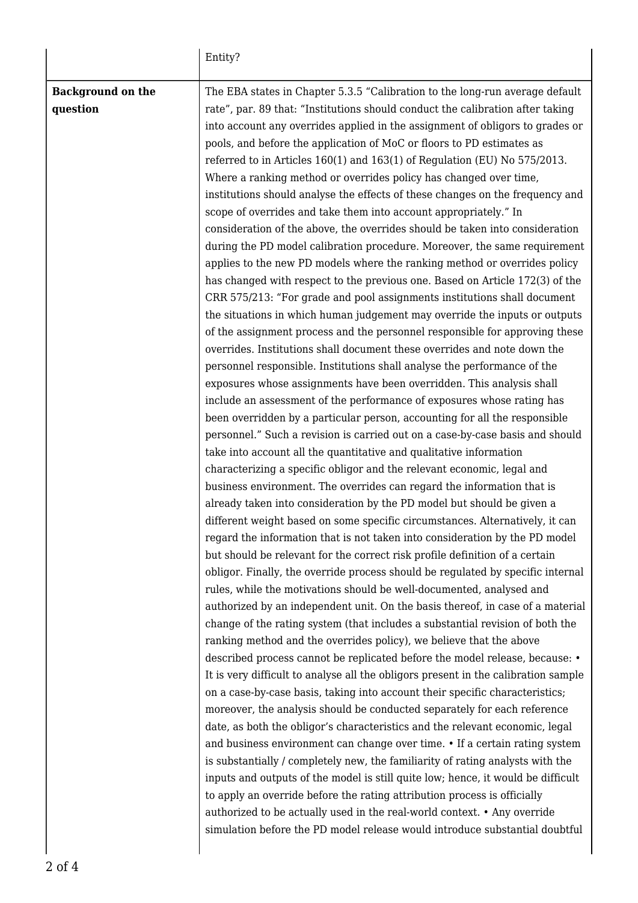|                          | Entity?                                                                                                                                             |
|--------------------------|-----------------------------------------------------------------------------------------------------------------------------------------------------|
| <b>Background on the</b> | The EBA states in Chapter 5.3.5 "Calibration to the long-run average default                                                                        |
| question                 | rate", par. 89 that: "Institutions should conduct the calibration after taking                                                                      |
|                          | into account any overrides applied in the assignment of obligors to grades or                                                                       |
|                          | pools, and before the application of MoC or floors to PD estimates as                                                                               |
|                          | referred to in Articles 160(1) and 163(1) of Regulation (EU) No 575/2013.                                                                           |
|                          | Where a ranking method or overrides policy has changed over time,                                                                                   |
|                          | institutions should analyse the effects of these changes on the frequency and                                                                       |
|                          | scope of overrides and take them into account appropriately." In                                                                                    |
|                          | consideration of the above, the overrides should be taken into consideration                                                                        |
|                          | during the PD model calibration procedure. Moreover, the same requirement                                                                           |
|                          | applies to the new PD models where the ranking method or overrides policy                                                                           |
|                          | has changed with respect to the previous one. Based on Article 172(3) of the                                                                        |
|                          | CRR 575/213: "For grade and pool assignments institutions shall document                                                                            |
|                          | the situations in which human judgement may override the inputs or outputs                                                                          |
|                          | of the assignment process and the personnel responsible for approving these                                                                         |
|                          | overrides. Institutions shall document these overrides and note down the                                                                            |
|                          | personnel responsible. Institutions shall analyse the performance of the                                                                            |
|                          | exposures whose assignments have been overridden. This analysis shall                                                                               |
|                          | include an assessment of the performance of exposures whose rating has                                                                              |
|                          | been overridden by a particular person, accounting for all the responsible                                                                          |
|                          | personnel." Such a revision is carried out on a case-by-case basis and should<br>take into account all the quantitative and qualitative information |
|                          | characterizing a specific obligor and the relevant economic, legal and                                                                              |
|                          | business environment. The overrides can regard the information that is                                                                              |
|                          | already taken into consideration by the PD model but should be given a                                                                              |
|                          | different weight based on some specific circumstances. Alternatively, it can                                                                        |
|                          | regard the information that is not taken into consideration by the PD model                                                                         |
|                          | but should be relevant for the correct risk profile definition of a certain                                                                         |
|                          | obligor. Finally, the override process should be regulated by specific internal                                                                     |
|                          | rules, while the motivations should be well-documented, analysed and                                                                                |
|                          | authorized by an independent unit. On the basis thereof, in case of a material                                                                      |
|                          | change of the rating system (that includes a substantial revision of both the                                                                       |
|                          | ranking method and the overrides policy), we believe that the above                                                                                 |
|                          | described process cannot be replicated before the model release, because: •                                                                         |
|                          | It is very difficult to analyse all the obligors present in the calibration sample                                                                  |
|                          | on a case-by-case basis, taking into account their specific characteristics;                                                                        |
|                          | moreover, the analysis should be conducted separately for each reference                                                                            |
|                          | date, as both the obligor's characteristics and the relevant economic, legal                                                                        |
|                          | and business environment can change over time. • If a certain rating system                                                                         |
|                          | is substantially / completely new, the familiarity of rating analysts with the                                                                      |
|                          | inputs and outputs of the model is still quite low; hence, it would be difficult                                                                    |
|                          | to apply an override before the rating attribution process is officially                                                                            |
|                          | authorized to be actually used in the real-world context. • Any override                                                                            |
|                          | simulation before the PD model release would introduce substantial doubtful                                                                         |
|                          |                                                                                                                                                     |

 $\overline{\phantom{a}}$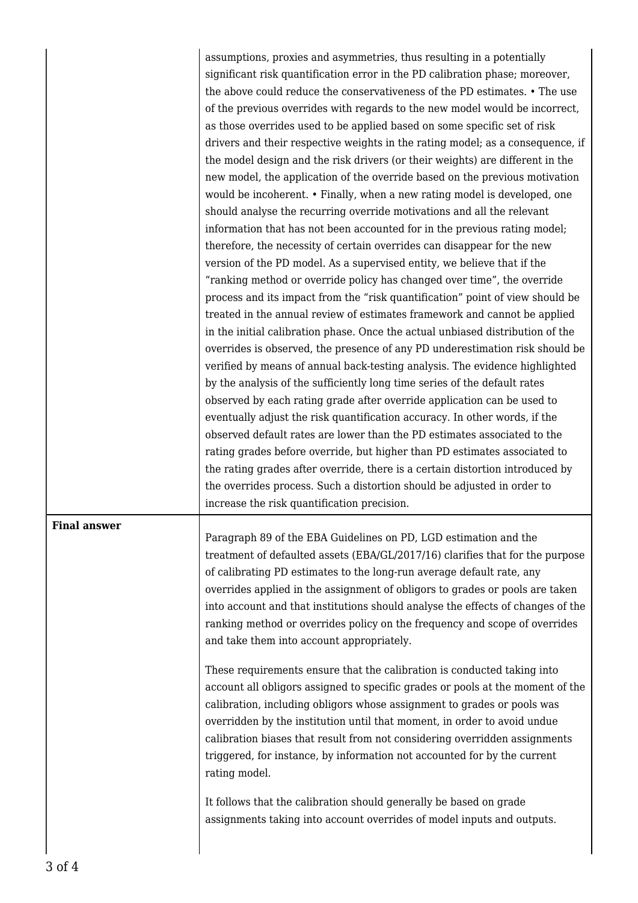|                     | assumptions, proxies and asymmetries, thus resulting in a potentially<br>significant risk quantification error in the PD calibration phase; moreover,<br>the above could reduce the conservativeness of the PD estimates. • The use<br>of the previous overrides with regards to the new model would be incorrect,<br>as those overrides used to be applied based on some specific set of risk<br>drivers and their respective weights in the rating model; as a consequence, if<br>the model design and the risk drivers (or their weights) are different in the<br>new model, the application of the override based on the previous motivation<br>would be incoherent. • Finally, when a new rating model is developed, one<br>should analyse the recurring override motivations and all the relevant<br>information that has not been accounted for in the previous rating model;<br>therefore, the necessity of certain overrides can disappear for the new<br>version of the PD model. As a supervised entity, we believe that if the<br>"ranking method or override policy has changed over time", the override<br>process and its impact from the "risk quantification" point of view should be<br>treated in the annual review of estimates framework and cannot be applied<br>in the initial calibration phase. Once the actual unbiased distribution of the<br>overrides is observed, the presence of any PD underestimation risk should be<br>verified by means of annual back-testing analysis. The evidence highlighted<br>by the analysis of the sufficiently long time series of the default rates<br>observed by each rating grade after override application can be used to<br>eventually adjust the risk quantification accuracy. In other words, if the<br>observed default rates are lower than the PD estimates associated to the<br>rating grades before override, but higher than PD estimates associated to<br>the rating grades after override, there is a certain distortion introduced by<br>the overrides process. Such a distortion should be adjusted in order to<br>increase the risk quantification precision. |
|---------------------|------------------------------------------------------------------------------------------------------------------------------------------------------------------------------------------------------------------------------------------------------------------------------------------------------------------------------------------------------------------------------------------------------------------------------------------------------------------------------------------------------------------------------------------------------------------------------------------------------------------------------------------------------------------------------------------------------------------------------------------------------------------------------------------------------------------------------------------------------------------------------------------------------------------------------------------------------------------------------------------------------------------------------------------------------------------------------------------------------------------------------------------------------------------------------------------------------------------------------------------------------------------------------------------------------------------------------------------------------------------------------------------------------------------------------------------------------------------------------------------------------------------------------------------------------------------------------------------------------------------------------------------------------------------------------------------------------------------------------------------------------------------------------------------------------------------------------------------------------------------------------------------------------------------------------------------------------------------------------------------------------------------------------------------------------------------------------------------------------------------------------------------------|
| <b>Final answer</b> | Paragraph 89 of the EBA Guidelines on PD, LGD estimation and the<br>treatment of defaulted assets (EBA/GL/2017/16) clarifies that for the purpose<br>of calibrating PD estimates to the long-run average default rate, any<br>overrides applied in the assignment of obligors to grades or pools are taken<br>into account and that institutions should analyse the effects of changes of the<br>ranking method or overrides policy on the frequency and scope of overrides<br>and take them into account appropriately.                                                                                                                                                                                                                                                                                                                                                                                                                                                                                                                                                                                                                                                                                                                                                                                                                                                                                                                                                                                                                                                                                                                                                                                                                                                                                                                                                                                                                                                                                                                                                                                                                       |
|                     | These requirements ensure that the calibration is conducted taking into<br>account all obligors assigned to specific grades or pools at the moment of the<br>calibration, including obligors whose assignment to grades or pools was<br>overridden by the institution until that moment, in order to avoid undue<br>calibration biases that result from not considering overridden assignments<br>triggered, for instance, by information not accounted for by the current<br>rating model.                                                                                                                                                                                                                                                                                                                                                                                                                                                                                                                                                                                                                                                                                                                                                                                                                                                                                                                                                                                                                                                                                                                                                                                                                                                                                                                                                                                                                                                                                                                                                                                                                                                    |
|                     | It follows that the calibration should generally be based on grade<br>assignments taking into account overrides of model inputs and outputs.                                                                                                                                                                                                                                                                                                                                                                                                                                                                                                                                                                                                                                                                                                                                                                                                                                                                                                                                                                                                                                                                                                                                                                                                                                                                                                                                                                                                                                                                                                                                                                                                                                                                                                                                                                                                                                                                                                                                                                                                   |